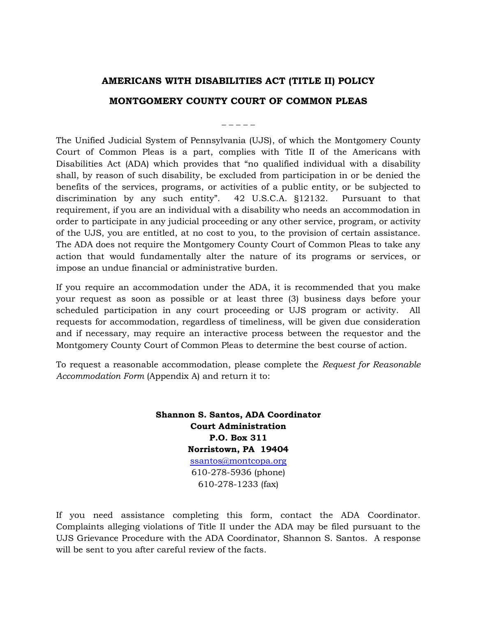## **AMERICANS WITH DISABILITIES ACT (TITLE II) POLICY**

## **MONTGOMERY COUNTY COURT OF COMMON PLEAS**

## **\_ \_ \_ \_ \_**

The Unified Judicial System of Pennsylvania (UJS), of which the Montgomery County Court of Common Pleas is a part, complies with Title II of the Americans with Disabilities Act (ADA) which provides that "no qualified individual with a disability shall, by reason of such disability, be excluded from participation in or be denied the benefits of the services, programs, or activities of a public entity, or be subjected to discrimination by any such entity". 42 U.S.C.A. §12132. Pursuant to that requirement, if you are an individual with a disability who needs an accommodation in order to participate in any judicial proceeding or any other service, program, or activity of the UJS, you are entitled, at no cost to you, to the provision of certain assistance. The ADA does not require the Montgomery County Court of Common Pleas to take any action that would fundamentally alter the nature of its programs or services, or impose an undue financial or administrative burden.

If you require an accommodation under the ADA, it is recommended that you make your request as soon as possible or at least three (3) business days before your scheduled participation in any court proceeding or UJS program or activity. All requests for accommodation, regardless of timeliness, will be given due consideration and if necessary, may require an interactive process between the requestor and the Montgomery County Court of Common Pleas to determine the best course of action.

To request a reasonable accommodation, please complete the *Request for Reasonable Accommodation Form* (Appendix A) and return it to:

> **Shannon S. Santos, ADA Coordinator Court Administration P.O. Box 311 Norristown, PA 19404** [ssantos@montcopa.org](mailto:ssantos@montcopa.org) 610-278-5936 (phone) 610-278-1233 (fax)

If you need assistance completing this form, contact the ADA Coordinator. Complaints alleging violations of Title II under the ADA may be filed pursuant to the UJS Grievance Procedure with the ADA Coordinator, Shannon S. Santos. A response will be sent to you after careful review of the facts.